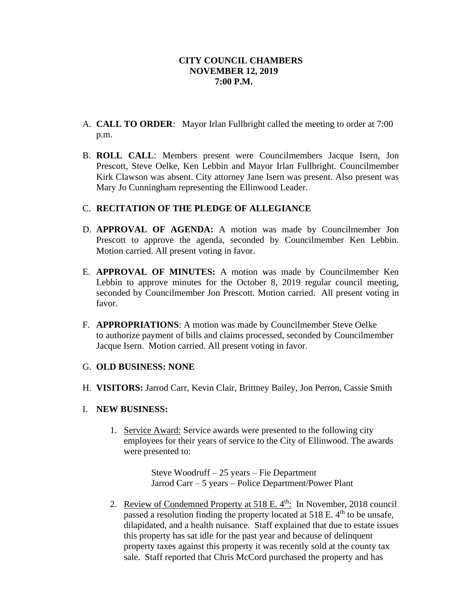## **CITY COUNCIL CHAMBERS NOVEMBER 12, 2019 7:00 P.M.**

- A. **CALL TO ORDER**: Mayor Irlan Fullbright called the meeting to order at 7:00 p.m.
- B. **ROLL CALL**: Members present were Councilmembers Jacque Isern, Jon Prescott, Steve Oelke, Ken Lebbin and Mayor Irlan Fullbright. Councilmember Kirk Clawson was absent. City attorney Jane Isern was present. Also present was Mary Jo Cunningham representing the Ellinwood Leader.

# C. **RECITATION OF THE PLEDGE OF ALLEGIANCE**

- D. **APPROVAL OF AGENDA:** A motion was made by Councilmember Jon Prescott to approve the agenda, seconded by Councilmember Ken Lebbin. Motion carried. All present voting in favor.
- E. **APPROVAL OF MINUTES:** A motion was made by Councilmember Ken Lebbin to approve minutes for the October 8, 2019 regular council meeting, seconded by Councilmember Jon Prescott. Motion carried. All present voting in favor.
- F. **APPROPRIATIONS**: A motion was made by Councilmember Steve Oelke to authorize payment of bills and claims processed, seconded by Councilmember Jacque Isern. Motion carried. All present voting in favor.

# G. **OLD BUSINESS: NONE**

H. **VISITORS:** Jarrod Carr, Kevin Clair, Brittney Bailey, Jon Perron, Cassie Smith

## I. **NEW BUSINESS:**

1. Service Award: Service awards were presented to the following city employees for their years of service to the City of Ellinwood. The awards were presented to:

> Steve Woodruff – 25 years – Fie Department Jarrod Carr – 5 years – Police Department/Power Plant

2. Review of Condemned Property at  $518$  E.  $4<sup>th</sup>$ : In November, 2018 council passed a resolution finding the property located at  $518$  E.  $4<sup>th</sup>$  to be unsafe, dilapidated, and a health nuisance. Staff explained that due to estate issues this property has sat idle for the past year and because of delinquent property taxes against this property it was recently sold at the county tax sale. Staff reported that Chris McCord purchased the property and has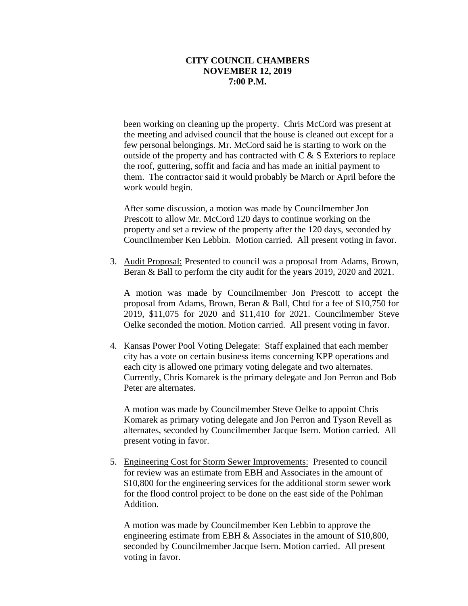### **CITY COUNCIL CHAMBERS NOVEMBER 12, 2019 7:00 P.M.**

been working on cleaning up the property. Chris McCord was present at the meeting and advised council that the house is cleaned out except for a few personal belongings. Mr. McCord said he is starting to work on the outside of the property and has contracted with  $C & S$  Exteriors to replace the roof, guttering, soffit and facia and has made an initial payment to them. The contractor said it would probably be March or April before the work would begin.

After some discussion, a motion was made by Councilmember Jon Prescott to allow Mr. McCord 120 days to continue working on the property and set a review of the property after the 120 days, seconded by Councilmember Ken Lebbin. Motion carried. All present voting in favor.

3. Audit Proposal: Presented to council was a proposal from Adams, Brown, Beran & Ball to perform the city audit for the years 2019, 2020 and 2021.

A motion was made by Councilmember Jon Prescott to accept the proposal from Adams, Brown, Beran & Ball, Chtd for a fee of \$10,750 for 2019, \$11,075 for 2020 and \$11,410 for 2021. Councilmember Steve Oelke seconded the motion. Motion carried. All present voting in favor.

4. Kansas Power Pool Voting Delegate: Staff explained that each member city has a vote on certain business items concerning KPP operations and each city is allowed one primary voting delegate and two alternates. Currently, Chris Komarek is the primary delegate and Jon Perron and Bob Peter are alternates.

A motion was made by Councilmember Steve Oelke to appoint Chris Komarek as primary voting delegate and Jon Perron and Tyson Revell as alternates, seconded by Councilmember Jacque Isern. Motion carried. All present voting in favor.

5. Engineering Cost for Storm Sewer Improvements: Presented to council for review was an estimate from EBH and Associates in the amount of \$10,800 for the engineering services for the additional storm sewer work for the flood control project to be done on the east side of the Pohlman Addition.

A motion was made by Councilmember Ken Lebbin to approve the engineering estimate from EBH & Associates in the amount of \$10,800, seconded by Councilmember Jacque Isern. Motion carried. All present voting in favor.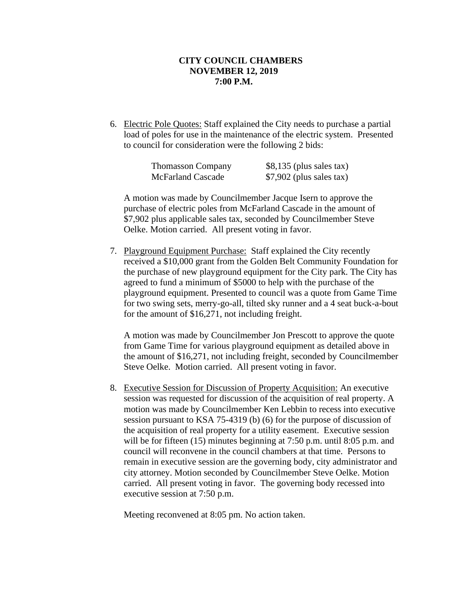### **CITY COUNCIL CHAMBERS NOVEMBER 12, 2019 7:00 P.M.**

6. Electric Pole Quotes: Staff explained the City needs to purchase a partial load of poles for use in the maintenance of the electric system. Presented to council for consideration were the following 2 bids:

| <b>Thomasson Company</b> | $$8,135$ (plus sales tax) |
|--------------------------|---------------------------|
| <b>McFarland Cascade</b> | $$7,902$ (plus sales tax) |

A motion was made by Councilmember Jacque Isern to approve the purchase of electric poles from McFarland Cascade in the amount of \$7,902 plus applicable sales tax, seconded by Councilmember Steve Oelke. Motion carried. All present voting in favor.

7. Playground Equipment Purchase: Staff explained the City recently received a \$10,000 grant from the Golden Belt Community Foundation for the purchase of new playground equipment for the City park. The City has agreed to fund a minimum of \$5000 to help with the purchase of the playground equipment. Presented to council was a quote from Game Time for two swing sets, merry-go-all, tilted sky runner and a 4 seat buck-a-bout for the amount of \$16,271, not including freight.

A motion was made by Councilmember Jon Prescott to approve the quote from Game Time for various playground equipment as detailed above in the amount of \$16,271, not including freight, seconded by Councilmember Steve Oelke. Motion carried. All present voting in favor.

8. Executive Session for Discussion of Property Acquisition: An executive session was requested for discussion of the acquisition of real property. A motion was made by Councilmember Ken Lebbin to recess into executive session pursuant to KSA 75-4319 (b) (6) for the purpose of discussion of the acquisition of real property for a utility easement. Executive session will be for fifteen (15) minutes beginning at 7:50 p.m. until 8:05 p.m. and council will reconvene in the council chambers at that time. Persons to remain in executive session are the governing body, city administrator and city attorney. Motion seconded by Councilmember Steve Oelke. Motion carried. All present voting in favor. The governing body recessed into executive session at 7:50 p.m.

Meeting reconvened at 8:05 pm. No action taken.